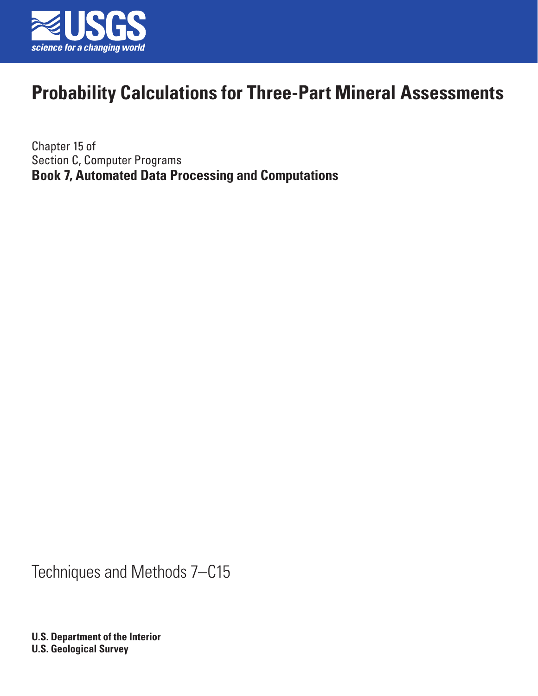

Chapter 15 of Section C, Computer Programs **Book 7, Automated Data Processing and Computations**

Techniques and Methods 7–C15

**U.S. Department of the Interior U.S. Geological Survey**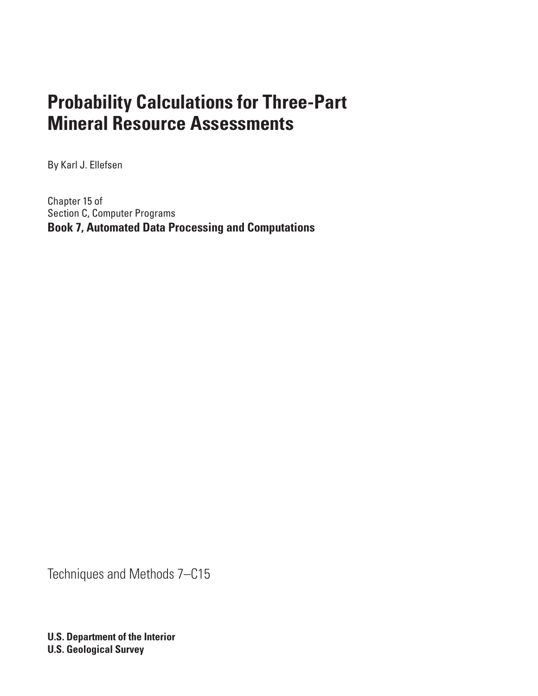By Karl J. Ellefsen

Chapter 15 of Section C, Computer Programs **Book 7, Automated Data Processing and Computations**

Techniques and Methods 7–C15

**U.S. Department of the Interior U.S. Geological Survey**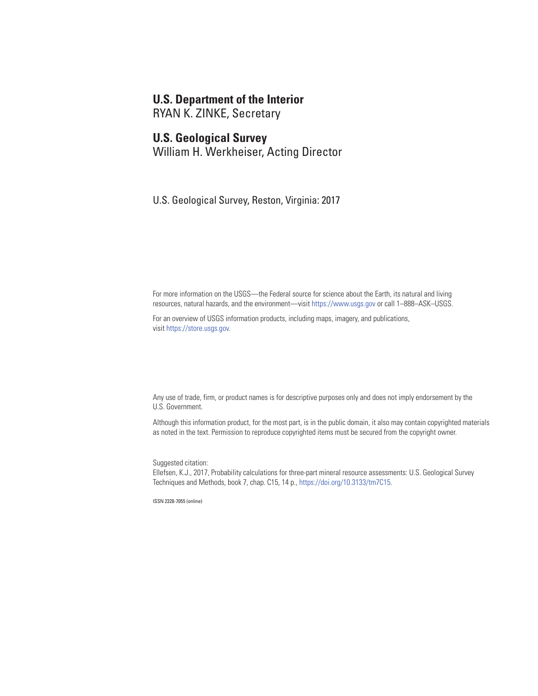### **U.S. Department of the Interior**

RYAN K. ZINKE, Secretary

#### **U.S. Geological Survey**

William H. Werkheiser, Acting Director

U.S. Geological Survey, Reston, Virginia: 2017

For more information on the USGS—the Federal source for science about the Earth, its natural and living resources, natural hazards, and the environment—visit <https://www.usgs.gov> or call 1–888–ASK–USGS.

For an overview of USGS information products, including maps, imagery, and publications, visit [https://store.usgs.gov.](https://store.usgs.gov)

Any use of trade, firm, or product names is for descriptive purposes only and does not imply endorsement by the U.S. Government.

Although this information product, for the most part, is in the public domain, it also may contain copyrighted materials as noted in the text. Permission to reproduce copyrighted items must be secured from the copyright owner.

Suggested citation:

Ellefsen, K.J., 2017, Probability calculations for three-part mineral resource assessments: U.S. Geological Survey Techniques and Methods, book 7, chap. C15, 14 p., [https://doi.org/10.3133/tm7C15.](https://doi.org/10.3133/tm7C15)

ISSN 2328-7055 (online)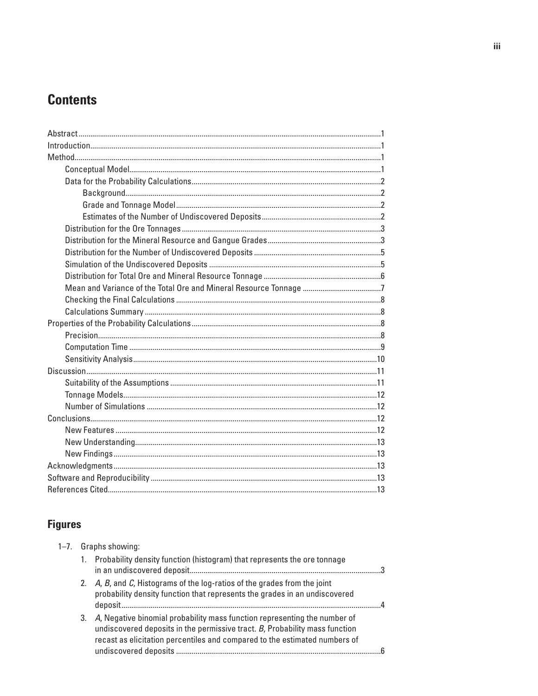# **Contents**

# **Figures**

| $1 - 7$ . | Graphs showing: |                                                                                                                                                                                                                                              |  |  |
|-----------|-----------------|----------------------------------------------------------------------------------------------------------------------------------------------------------------------------------------------------------------------------------------------|--|--|
|           |                 | 1. Probability density function (histogram) that represents the ore tonnage                                                                                                                                                                  |  |  |
|           |                 | 2. A, B, and C, Histograms of the log-ratios of the grades from the joint<br>probability density function that represents the grades in an undiscovered                                                                                      |  |  |
|           |                 | 3. A, Negative binomial probability mass function representing the number of<br>undiscovered deposits in the permissive tract. $B$ , Probability mass function<br>recast as elicitation percentiles and compared to the estimated numbers of |  |  |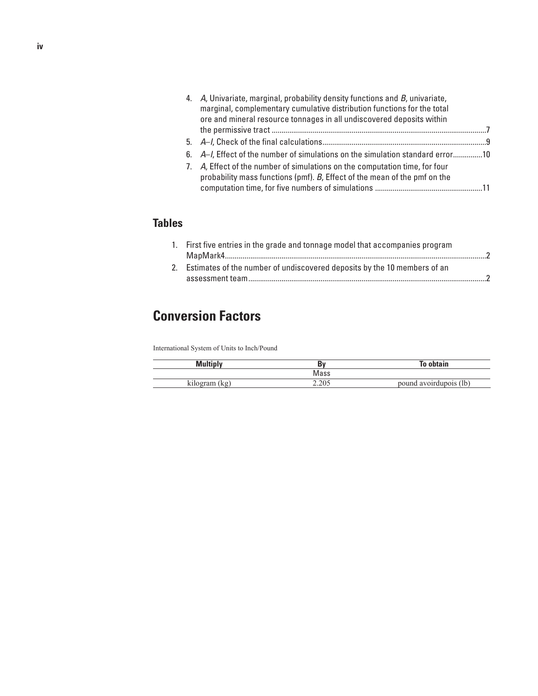| 4. A, Univariate, marginal, probability density functions and B, univariate,<br>marginal, complementary cumulative distribution functions for the total<br>ore and mineral resource tonnages in all undiscovered deposits within |  |
|----------------------------------------------------------------------------------------------------------------------------------------------------------------------------------------------------------------------------------|--|
|                                                                                                                                                                                                                                  |  |
|                                                                                                                                                                                                                                  |  |
| 6. A–I, Effect of the number of simulations on the simulation standard error10                                                                                                                                                   |  |
| 7. A, Effect of the number of simulations on the computation time, for four<br>probability mass functions (pmf). B, Effect of the mean of the pmf on the                                                                         |  |

### **Tables**

| 1. First five entries in the grade and tonnage model that accompanies program |  |
|-------------------------------------------------------------------------------|--|
|                                                                               |  |
| 2. Estimates of the number of undiscovered deposits by the 10 members of an   |  |
|                                                                               |  |

# **Conversion Factors**

International System of Units to Inch/Pound

| Multinly       | Кv             | lo obtain                     |
|----------------|----------------|-------------------------------|
|                | Mass           |                               |
| kilogram<br>kg | 2.205<br>2.203 | (lb)<br>avoirdupois<br>nouna. |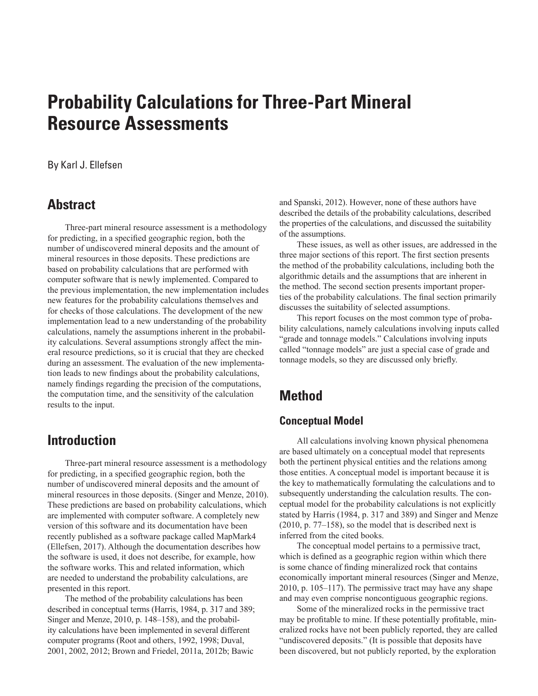#### <span id="page-6-0"></span>By Karl J. Ellefsen

### **Abstract**

Three-part mineral resource assessment is a methodology for predicting, in a specified geographic region, both the number of undiscovered mineral deposits and the amount of mineral resources in those deposits. These predictions are based on probability calculations that are performed with computer software that is newly implemented. Compared to the previous implementation, the new implementation includes new features for the probability calculations themselves and for checks of those calculations. The development of the new implementation lead to a new understanding of the probability calculations, namely the assumptions inherent in the probability calculations. Several assumptions strongly affect the mineral resource predictions, so it is crucial that they are checked during an assessment. The evaluation of the new implementation leads to new findings about the probability calculations, namely findings regarding the precision of the computations, the computation time, and the sensitivity of the calculation results to the input.

## **Introduction**

Three-part mineral resource assessment is a methodology for predicting, in a specified geographic region, both the number of undiscovered mineral deposits and the amount of mineral resources in those deposits. (Singer and Menze, 2010). These predictions are based on probability calculations, which are implemented with computer software. A completely new version of this software and its documentation have been recently published as a software package called MapMark4 (Ellefsen, 2017). Although the documentation describes how the software is used, it does not describe, for example, how the software works. This and related information, which are needed to understand the probability calculations, are presented in this report.

The method of the probability calculations has been described in conceptual terms (Harris, 1984, p. 317 and 389; Singer and Menze, 2010, p. 148–158), and the probability calculations have been implemented in several different computer programs (Root and others, 1992, 1998; Duval, 2001, 2002, 2012; Brown and Friedel, 2011a, 2012b; Bawic

and Spanski, 2012). However, none of these authors have described the details of the probability calculations, described the properties of the calculations, and discussed the suitability of the assumptions.

These issues, as well as other issues, are addressed in the three major sections of this report. The first section presents the method of the probability calculations, including both the algorithmic details and the assumptions that are inherent in the method. The second section presents important properties of the probability calculations. The final section primarily discusses the suitability of selected assumptions.

This report focuses on the most common type of probability calculations, namely calculations involving inputs called "grade and tonnage models." Calculations involving inputs called "tonnage models" are just a special case of grade and tonnage models, so they are discussed only briefly.

## **Method**

#### **Conceptual Model**

All calculations involving known physical phenomena are based ultimately on a conceptual model that represents both the pertinent physical entities and the relations among those entities. A conceptual model is important because it is the key to mathematically formulating the calculations and to subsequently understanding the calculation results. The conceptual model for the probability calculations is not explicitly stated by Harris (1984, p. 317 and 389) and Singer and Menze (2010, p. 77–158), so the model that is described next is inferred from the cited books.

The conceptual model pertains to a permissive tract, which is defined as a geographic region within which there is some chance of finding mineralized rock that contains economically important mineral resources (Singer and Menze, 2010, p. 105–117). The permissive tract may have any shape and may even comprise noncontiguous geographic regions.

Some of the mineralized rocks in the permissive tract may be profitable to mine. If these potentially profitable, mineralized rocks have not been publicly reported, they are called "undiscovered deposits." (It is possible that deposits have been discovered, but not publicly reported, by the exploration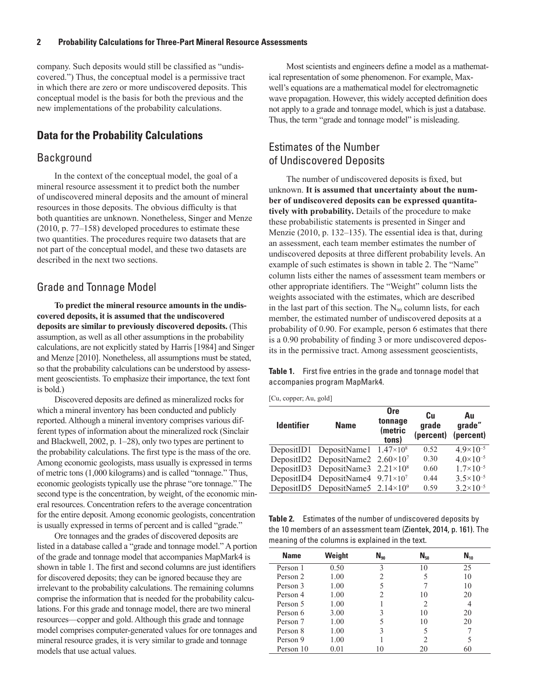<span id="page-7-0"></span>company. Such deposits would still be classified as "undiscovered.") Thus, the conceptual model is a permissive tract in which there are zero or more undiscovered deposits. This conceptual model is the basis for both the previous and the new implementations of the probability calculations.

#### **Data for the Probability Calculations**

#### Background

In the context of the conceptual model, the goal of a mineral resource assessment it to predict both the number of undiscovered mineral deposits and the amount of mineral resources in those deposits. The obvious difficulty is that both quantities are unknown. Nonetheless, Singer and Menze (2010, p. 77–158) developed procedures to estimate these two quantities. The procedures require two datasets that are not part of the conceptual model, and these two datasets are described in the next two sections.

#### Grade and Tonnage Model

**To predict the mineral resource amounts in the undiscovered deposits, it is assumed that the undiscovered deposits are similar to previously discovered deposits.** (This assumption, as well as all other assumptions in the probability calculations, are not explicitly stated by Harris [1984] and Singer and Menze [2010]. Nonetheless, all assumptions must be stated, so that the probability calculations can be understood by assessment geoscientists. To emphasize their importance, the text font is bold.)

Discovered deposits are defined as mineralized rocks for which a mineral inventory has been conducted and publicly reported. Although a mineral inventory comprises various different types of information about the mineralized rock (Sinclair and Blackwell, 2002, p. 1–28), only two types are pertinent to the probability calculations. The first type is the mass of the ore. Among economic geologists, mass usually is expressed in terms of metric tons (1,000 kilograms) and is called "tonnage." Thus, economic geologists typically use the phrase "ore tonnage." The second type is the concentration, by weight, of the economic mineral resources. Concentration refers to the average concentration for the entire deposit. Among economic geologists, concentration is usually expressed in terms of percent and is called "grade."

Ore tonnages and the grades of discovered deposits are listed in a database called a "grade and tonnage model." A portion of the grade and tonnage model that accompanies MapMark4 is shown in table 1. The first and second columns are just identifiers for discovered deposits; they can be ignored because they are irrelevant to the probability calculations. The remaining columns comprise the information that is needed for the probability calculations. For this grade and tonnage model, there are two mineral resources—copper and gold. Although this grade and tonnage model comprises computer-generated values for ore tonnages and mineral resource grades, it is very similar to grade and tonnage models that use actual values.

Most scientists and engineers define a model as a mathematical representation of some phenomenon. For example, Maxwell's equations are a mathematical model for electromagnetic wave propagation. However, this widely accepted definition does not apply to a grade and tonnage model, which is just a database. Thus, the term "grade and tonnage model" is misleading.

### Estimates of the Number of Undiscovered Deposits

The number of undiscovered deposits is fixed, but unknown. **It is assumed that uncertainty about the number of undiscovered deposits can be expressed quantitatively with probability.** Details of the procedure to make these probabilistic statements is presented in Singer and Menzie (2010, p. 132–135). The essential idea is that, during an assessment, each team member estimates the number of undiscovered deposits at three different probability levels. An example of such estimates is shown in table 2. The "Name" column lists either the names of assessment team members or other appropriate identifiers. The "Weight" column lists the weights associated with the estimates, which are described in the last part of this section. The  $N_{90}$  column lists, for each member, the estimated number of undiscovered deposits at a probability of 0.90. For example, person 6 estimates that there is a 0.90 probability of finding 3 or more undiscovered deposits in the permissive tract. Among assessment geoscientists,

**Table 1.** First five entries in the grade and tonnage model that accompanies program MapMark4.

| [Cu, copper; Au, gold] |  |  |
|------------------------|--|--|
|------------------------|--|--|

| <b>Identifier</b> | <b>Name</b>                                | <b>Ore</b><br>tonnage<br>(metric<br>tons) | Cu<br>grade<br>(percent) | Au<br>grade"<br>(percent) |
|-------------------|--------------------------------------------|-------------------------------------------|--------------------------|---------------------------|
|                   | DepositID1 DepositName1 $1.47 \times 10^8$ |                                           | 0.52                     | 4 $9 \times 10^{-5}$      |
|                   | DepositID2 DepositName2 $2.60 \times 10^7$ |                                           | 0.30                     | $4.0 \times 10^{-5}$      |
|                   | DepositID3 DepositName3 $2.21 \times 10^8$ |                                           | 0.60                     | $1.7\times10^{-5}$        |
|                   | DepositID4 DepositName4 $9.71 \times 10^7$ |                                           | 0.44                     | $3.5 \times 10^{-5}$      |
|                   | DepositID5 DepositName5 $2.14 \times 10^9$ |                                           | 0.59                     | $3.2 \times 10^{-5}$      |

**Table 2.** Estimates of the number of undiscovered deposits by the 10 members of an assessment team (Zientek, 2014, p. 161). The meaning of the columns is explained in the text.

| <b>Name</b> | Weight | $N_{90}$ | $N_{50}$ | $N_{10}$ |
|-------------|--------|----------|----------|----------|
| Person 1    | 0.50   | 3        | 10       | 25       |
| Person 2    | 1.00   | 2        | 5        | 10       |
| Person 3    | 1.00   |          |          | 10       |
| Person 4    | 1.00   | 2        | 10       | 20       |
| Person 5    | 1.00   |          | 2        | 4        |
| Person 6    | 3.00   | 3        | 10       | 20       |
| Person 7    | 1.00   | 5        | 10       | 20       |
| Person 8    | 1.00   | 3        | 5        |          |
| Person 9    | 1.00   |          | っ        |          |
| Person 10   | 0.01   | 10       | 20       | 60       |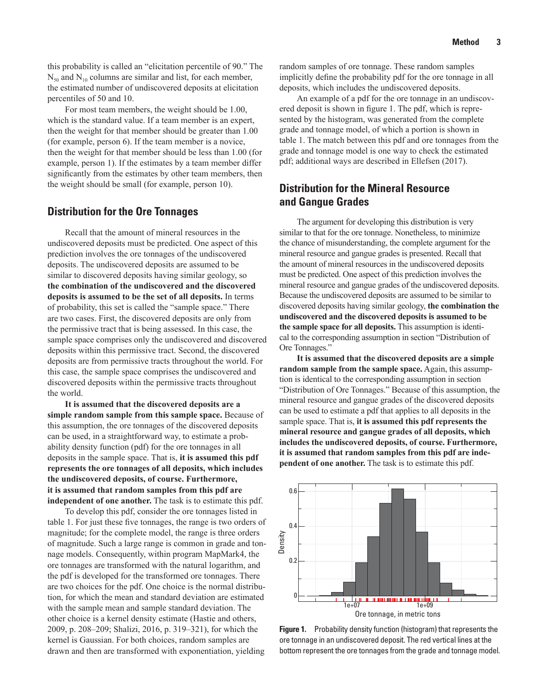<span id="page-8-0"></span>this probability is called an "elicitation percentile of 90." The  $N_{50}$  and  $N_{10}$  columns are similar and list, for each member, the estimated number of undiscovered deposits at elicitation percentiles of 50 and 10.

For most team members, the weight should be 1.00, which is the standard value. If a team member is an expert, then the weight for that member should be greater than 1.00 (for example, person 6). If the team member is a novice, then the weight for that member should be less than 1.00 (for example, person 1). If the estimates by a team member differ significantly from the estimates by other team members, then the weight should be small (for example, person 10).

#### **Distribution for the Ore Tonnages**

Recall that the amount of mineral resources in the undiscovered deposits must be predicted. One aspect of this prediction involves the ore tonnages of the undiscovered deposits. The undiscovered deposits are assumed to be similar to discovered deposits having similar geology, so **the combination of the undiscovered and the discovered deposits is assumed to be the set of all deposits.** In terms of probability, this set is called the "sample space." There are two cases. First, the discovered deposits are only from the permissive tract that is being assessed. In this case, the sample space comprises only the undiscovered and discovered deposits within this permissive tract. Second, the discovered deposits are from permissive tracts throughout the world. For this case, the sample space comprises the undiscovered and discovered deposits within the permissive tracts throughout the world.

**It is assumed that the discovered deposits are a simple random sample from this sample space.** Because of this assumption, the ore tonnages of the discovered deposits can be used, in a straightforward way, to estimate a probability density function (pdf) for the ore tonnages in all deposits in the sample space. That is, **it is assumed this pdf represents the ore tonnages of all deposits, which includes the undiscovered deposits, of course. Furthermore, it is assumed that random samples from this pdf are independent of one another.** The task is to estimate this pdf.

To develop this pdf, consider the ore tonnages listed in table 1. For just these five tonnages, the range is two orders of magnitude; for the complete model, the range is three orders of magnitude. Such a large range is common in grade and tonnage models. Consequently, within program MapMark4, the ore tonnages are transformed with the natural logarithm, and the pdf is developed for the transformed ore tonnages. There are two choices for the pdf. One choice is the normal distribution, for which the mean and standard deviation are estimated with the sample mean and sample standard deviation. The other choice is a kernel density estimate (Hastie and others, 2009, p. 208–209; Shalizi, 2016, p. 319–321), for which the kernel is Gaussian. For both choices, random samples are drawn and then are transformed with exponentiation, yielding

random samples of ore tonnage. These random samples implicitly define the probability pdf for the ore tonnage in all deposits, which includes the undiscovered deposits.

An example of a pdf for the ore tonnage in an undiscovered deposit is shown in figure 1. The pdf, which is represented by the histogram, was generated from the complete grade and tonnage model, of which a portion is shown in table 1. The match between this pdf and ore tonnages from the grade and tonnage model is one way to check the estimated pdf; additional ways are described in Ellefsen (2017).

### **Distribution for the Mineral Resource and Gangue Grades**

The argument for developing this distribution is very similar to that for the ore tonnage. Nonetheless, to minimize the chance of misunderstanding, the complete argument for the mineral resource and gangue grades is presented. Recall that the amount of mineral resources in the undiscovered deposits must be predicted. One aspect of this prediction involves the mineral resource and gangue grades of the undiscovered deposits. Because the undiscovered deposits are assumed to be similar to discovered deposits having similar geology, **the combination the undiscovered and the discovered deposits is assumed to be the sample space for all deposits.** This assumption is identical to the corresponding assumption in section "Distribution of Ore Tonnages."

**It is assumed that the discovered deposits are a simple random sample from the sample space.** Again, this assumption is identical to the corresponding assumption in section "Distribution of Ore Tonnages." Because of this assumption, the mineral resource and gangue grades of the discovered deposits can be used to estimate a pdf that applies to all deposits in the sample space. That is, **it is assumed this pdf represents the mineral resource and gangue grades of all deposits, which includes the undiscovered deposits, of course. Furthermore, it is assumed that random samples from this pdf are independent of one another.** The task is to estimate this pdf.



**Figure 1.** Probability density function (histogram) that represents the ore tonnage in an undiscovered deposit. The red vertical lines at the bottom represent the ore tonnages from the grade and tonnage model.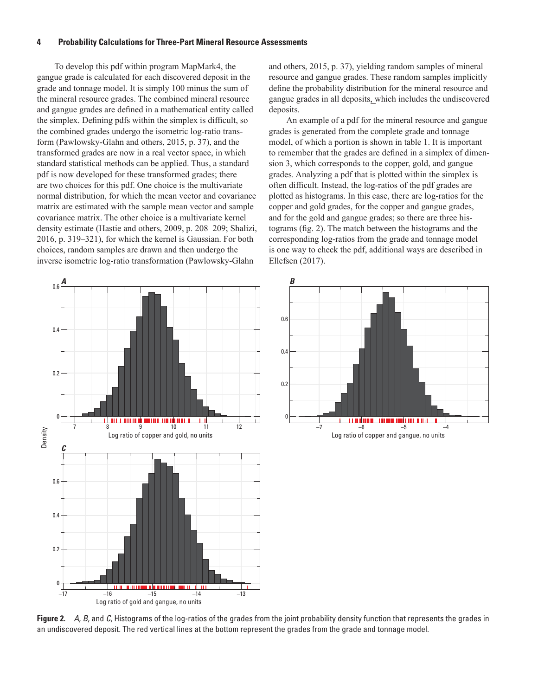<span id="page-9-0"></span>To develop this pdf within program MapMark4, the gangue grade is calculated for each discovered deposit in the grade and tonnage model. It is simply 100 minus the sum of the mineral resource grades. The combined mineral resource and gangue grades are defined in a mathematical entity called the simplex. Defining pdfs within the simplex is difficult, so the combined grades undergo the isometric log-ratio transform (Pawlowsky-Glahn and others, 2015, p. 37), and the transformed grades are now in a real vector space, in which standard statistical methods can be applied. Thus, a standard pdf is now developed for these transformed grades; there are two choices for this pdf. One choice is the multivariate normal distribution, for which the mean vector and covariance matrix are estimated with the sample mean vector and sample covariance matrix. The other choice is a multivariate kernel density estimate (Hastie and others, 2009, p. 208–209; Shalizi, 2016, p. 319–321), for which the kernel is Gaussian. For both choices, random samples are drawn and then undergo the inverse isometric log-ratio transformation (Pawlowsky-Glahn

and others, 2015, p. 37), yielding random samples of mineral resource and gangue grades. These random samples implicitly define the probability distribution for the mineral resource and gangue grades in all deposits, which includes the undiscovered deposits.

An example of a pdf for the mineral resource and gangue grades is generated from the complete grade and tonnage model, of which a portion is shown in table 1. It is important to remember that the grades are defined in a simplex of dimension 3, which corresponds to the copper, gold, and gangue grades. Analyzing a pdf that is plotted within the simplex is often difficult. Instead, the log-ratios of the pdf grades are plotted as histograms. In this case, there are log-ratios for the copper and gold grades, for the copper and gangue grades, and for the gold and gangue grades; so there are three histograms (fig. 2). The match between the histograms and the corresponding log-ratios from the grade and tonnage model is one way to check the pdf, additional ways are described in Ellefsen (2017).



**Figure 2.** *A*, *B*, and *C*, Histograms of the log-ratios of the grades from the joint probability density function that represents the grades in an undiscovered deposit. The red vertical lines at the bottom represent the grades from the grade and tonnage model.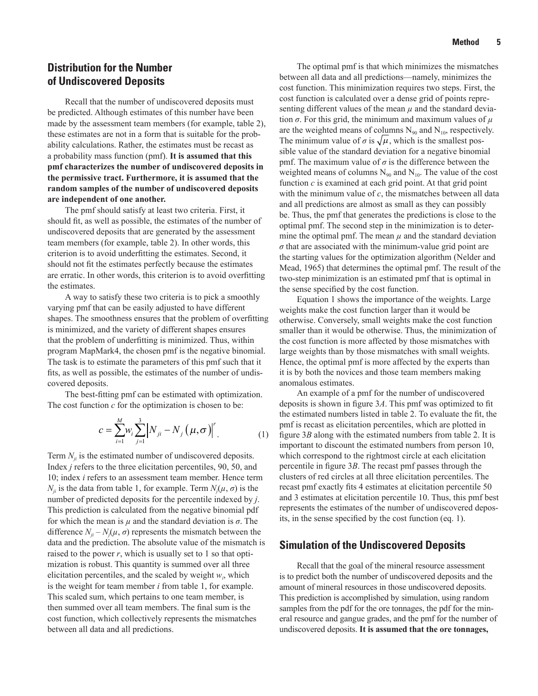#### <span id="page-10-0"></span>**Distribution for the Number of Undiscovered Deposits**

Recall that the number of undiscovered deposits must be predicted. Although estimates of this number have been made by the assessment team members (for example, table 2), these estimates are not in a form that is suitable for the probability calculations. Rather, the estimates must be recast as a probability mass function (pmf). **It is assumed that this pmf characterizes the number of undiscovered deposits in the permissive tract. Furthermore, it is assumed that the random samples of the number of undiscovered deposits are independent of one another.**

The pmf should satisfy at least two criteria. First, it should fit, as well as possible, the estimates of the number of undiscovered deposits that are generated by the assessment team members (for example, table 2). In other words, this criterion is to avoid underfitting the estimates. Second, it should not fit the estimates perfectly because the estimates are erratic. In other words, this criterion is to avoid overfitting the estimates.

A way to satisfy these two criteria is to pick a smoothly varying pmf that can be easily adjusted to have different shapes. The smoothness ensures that the problem of overfitting is minimized, and the variety of different shapes ensures that the problem of underfitting is minimized. Thus, within program MapMark4, the chosen pmf is the negative binomial. The task is to estimate the parameters of this pmf such that it fits, as well as possible, the estimates of the number of undiscovered deposits.

The best-fitting pmf can be estimated with optimization. The cost function *c* for the optimization is chosen to be:

$$
c = \sum_{i=1}^{M} w_i \sum_{j=1}^{3} \left| N_{ji} - N_j \left( \mu, \sigma \right) \right|^{r} \tag{1}
$$

Term  $N_{ii}$  is the estimated number of undiscovered deposits. Index *j* refers to the three elicitation percentiles, 90, 50, and 10; index *i* refers to an assessment team member. Hence term *N<sub>ji</sub>* is the data from table 1, for example. Term  $N_j(\mu, \sigma)$  is the number of predicted deposits for the percentile indexed by *j*. This prediction is calculated from the negative binomial pdf for which the mean is  $\mu$  and the standard deviation is  $\sigma$ . The difference  $N_{ji} - N_j(\mu, \sigma)$  represents the mismatch between the data and the prediction. The absolute value of the mismatch is raised to the power *r*, which is usually set to 1 so that optimization is robust. This quantity is summed over all three elicitation percentiles, and the scaled by weight  $w_i$ , which is the weight for team member *i* from table 1, for example. This scaled sum, which pertains to one team member, is then summed over all team members. The final sum is the cost function, which collectively represents the mismatches between all data and all predictions.

The optimal pmf is that which minimizes the mismatches between all data and all predictions—namely, minimizes the cost function. This minimization requires two steps. First, the cost function is calculated over a dense grid of points representing different values of the mean  $\mu$  and the standard deviation *σ*. For this grid, the minimum and maximum values of *µ* are the weighted means of columns  $N_{90}$  and  $N_{10}$ , respectively. The minimum value of  $\sigma$  is  $\sqrt{\mu}$ , which is the smallest possible value of the standard deviation for a negative binomial pmf. The maximum value of  $\sigma$  is the difference between the weighted means of columns  $N_{90}$  and  $N_{10}$ . The value of the cost function *c* is examined at each grid point. At that grid point with the minimum value of *c*, the mismatches between all data and all predictions are almost as small as they can possibly be. Thus, the pmf that generates the predictions is close to the optimal pmf. The second step in the minimization is to determine the optimal pmf. The mean  $\mu$  and the standard deviation *σ* that are associated with the minimum-value grid point are the starting values for the optimization algorithm (Nelder and Mead, 1965) that determines the optimal pmf. The result of the two-step minimization is an estimated pmf that is optimal in the sense specified by the cost function.

Equation 1 shows the importance of the weights. Large weights make the cost function larger than it would be otherwise. Conversely, small weights make the cost function smaller than it would be otherwise. Thus, the minimization of the cost function is more affected by those mismatches with large weights than by those mismatches with small weights. Hence, the optimal pmf is more affected by the experts than it is by both the novices and those team members making anomalous estimates.

An example of a pmf for the number of undiscovered deposits is shown in figure 3*A*. This pmf was optimized to fit the estimated numbers listed in table 2. To evaluate the fit, the pmf is recast as elicitation percentiles, which are plotted in figure 3*B* along with the estimated numbers from table 2. It is important to discount the estimated numbers from person 10, which correspond to the rightmost circle at each elicitation percentile in figure 3*B*. The recast pmf passes through the clusters of red circles at all three elicitation percentiles. The recast pmf exactly fits 4 estimates at elicitation percentile 50 and 3 estimates at elicitation percentile 10. Thus, this pmf best represents the estimates of the number of undiscovered deposits, in the sense specified by the cost function (eq. 1).

#### **Simulation of the Undiscovered Deposits**

Recall that the goal of the mineral resource assessment is to predict both the number of undiscovered deposits and the amount of mineral resources in those undiscovered deposits. This prediction is accomplished by simulation, using random samples from the pdf for the ore tonnages, the pdf for the mineral resource and gangue grades, and the pmf for the number of undiscovered deposits. **It is assumed that the ore tonnages,**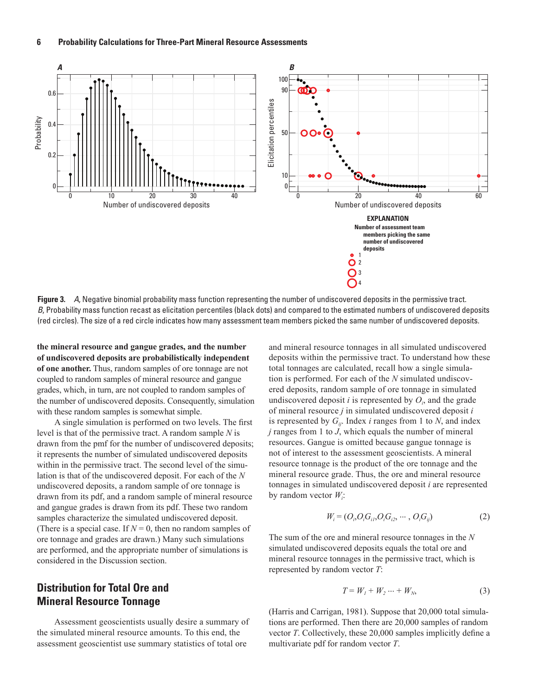<span id="page-11-0"></span>

**Figure 3.** *A*, Negative binomial probability mass function representing the number of undiscovered deposits in the permissive tract. *B*, Probability mass function recast as elicitation percentiles (black dots) and compared to the estimated numbers of undiscovered deposits (red circles). The size of a red circle indicates how many assessment team members picked the same number of undiscovered deposits.

**the mineral resource and gangue grades, and the number of undiscovered deposits are probabilistically independent of one another.** Thus, random samples of ore tonnage are not coupled to random samples of mineral resource and gangue grades, which, in turn, are not coupled to random samples of the number of undiscovered deposits. Consequently, simulation with these random samples is somewhat simple.

A single simulation is performed on two levels. The first level is that of the permissive tract. A random sample *N* is drawn from the pmf for the number of undiscovered deposits; it represents the number of simulated undiscovered deposits within in the permissive tract. The second level of the simulation is that of the undiscovered deposit. For each of the *N* undiscovered deposits, a random sample of ore tonnage is drawn from its pdf, and a random sample of mineral resource and gangue grades is drawn from its pdf. These two random samples characterize the simulated undiscovered deposit. (There is a special case. If  $N = 0$ , then no random samples of ore tonnage and grades are drawn.) Many such simulations are performed, and the appropriate number of simulations is considered in the Discussion section.

#### **Distribution for Total Ore and Mineral Resource Tonnage**

Assessment geoscientists usually desire a summary of the simulated mineral resource amounts. To this end, the assessment geoscientist use summary statistics of total ore

and mineral resource tonnages in all simulated undiscovered deposits within the permissive tract. To understand how these total tonnages are calculated, recall how a single simulation is performed. For each of the *N* simulated undiscovered deposits, random sample of ore tonnage in simulated undiscovered deposit  $i$  is represented by  $O_i$ , and the grade of mineral resource *j* in simulated undiscovered deposit *i* is represented by  $G_{ii}$ . Index *i* ranges from 1 to *N*, and index *j* ranges from 1 to *J*, which equals the number of mineral resources. Gangue is omitted because gangue tonnage is not of interest to the assessment geoscientists. A mineral resource tonnage is the product of the ore tonnage and the mineral resource grade. Thus, the ore and mineral resource tonnages in simulated undiscovered deposit *i* are represented by random vector *Wi* :

$$
W_i = (O_i, O_i, G_i, O_i, G_i, \cdots, O_i, G_i)
$$
 (2)

The sum of the ore and mineral resource tonnages in the *N* simulated undiscovered deposits equals the total ore and mineral resource tonnages in the permissive tract, which is represented by random vector *T*:

$$
T = W_1 + W_2 \dots + W_N,\tag{3}
$$

(Harris and Carrigan, 1981). Suppose that 20,000 total simulations are performed. Then there are 20,000 samples of random vector *T*. Collectively, these 20,000 samples implicitly define a multivariate pdf for random vector *T*.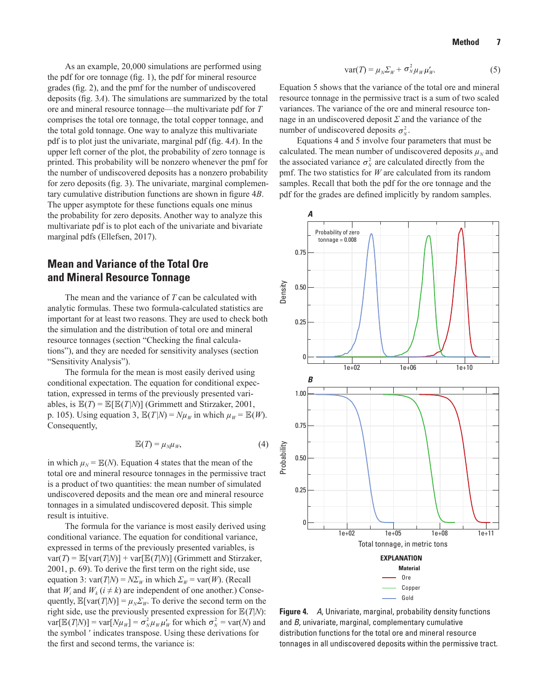<span id="page-12-0"></span>As an example, 20,000 simulations are performed using the pdf for ore tonnage (fig. 1), the pdf for mineral resource grades (fig. 2), and the pmf for the number of undiscovered deposits (fig. 3*A*). The simulations are summarized by the total ore and mineral resource tonnage—the multivariate pdf for *T* comprises the total ore tonnage, the total copper tonnage, and the total gold tonnage. One way to analyze this multivariate pdf is to plot just the univariate, marginal pdf (fig. 4*A*). In the upper left corner of the plot, the probability of zero tonnage is printed. This probability will be nonzero whenever the pmf for the number of undiscovered deposits has a nonzero probability for zero deposits (fig. 3). The univariate, marginal complementary cumulative distribution functions are shown in figure 4*B*. The upper asymptote for these functions equals one minus the probability for zero deposits. Another way to analyze this multivariate pdf is to plot each of the univariate and bivariate marginal pdfs (Ellefsen, 2017).

#### **Mean and Variance of the Total Ore and Mineral Resource Tonnage**

The mean and the variance of *T* can be calculated with analytic formulas. These two formula-calculated statistics are important for at least two reasons. They are used to check both the simulation and the distribution of total ore and mineral resource tonnages (section "Checking the final calculations"), and they are needed for sensitivity analyses (section "Sensitivity Analysis").

The formula for the mean is most easily derived using conditional expectation. The equation for conditional expectation, expressed in terms of the previously presented variables, is  $\mathbb{E}(T) = \mathbb{E}[\mathbb{E}(T|N)]$  (Grimmett and Stirzaker, 2001, p. 105). Using equation 3,  $\mathbb{E}(T|N) = N\mu_W$  in which  $\mu_W = \mathbb{E}(W)$ . Consequently,

$$
\mathbb{E}(T) = \mu_N \mu_W,\tag{4}
$$

in which  $\mu_N = \mathbb{E}(N)$ . Equation 4 states that the mean of the total ore and mineral resource tonnages in the permissive tract is a product of two quantities: the mean number of simulated undiscovered deposits and the mean ore and mineral resource tonnages in a simulated undiscovered deposit. This simple result is intuitive.

The formula for the variance is most easily derived using conditional variance. The equation for conditional variance, expressed in terms of the previously presented variables, is  $var(T) = \mathbb{E}[var(T|N)] + var[\mathbb{E}(T|N)]$  (Grimmett and Stirzaker, 2001, p. 69). To derive the first term on the right side, use equation 3:  $var(T|N) = N\Sigma_W$  in which  $\Sigma_W = var(W)$ . (Recall that  $W_i$  and  $W_k$  ( $i \neq k$ ) are independent of one another.) Consequently,  $\mathbb{E}[var(T|N)] = \mu_N \Sigma_W$ . To derive the second term on the right side, use the previously presented expression for  $\mathbb{E}(T|N)$ :  $var[\mathbb{E}(T|N)] = var[N\mu_W] = \sigma_N^2 \mu_W \mu_W$  for which  $\sigma_N^2 = var(N)$  and the symbol ' indicates transpose. Using these derivations for the first and second terms, the variance is:

$$
var(T) = \mu_N \Sigma_W + \sigma_N^2 \mu_W \mu'_W.
$$
 (5)

Equation 5 shows that the variance of the total ore and mineral resource tonnage in the permissive tract is a sum of two scaled variances. The variance of the ore and mineral resource tonnage in an undiscovered deposit *Σ* and the variance of the number of undiscovered deposits  $\sigma_N^2$ .

Equations 4 and 5 involve four parameters that must be calculated. The mean number of undiscovered deposits  $\mu<sub>N</sub>$  and the associated variance  $\sigma_N^2$  are calculated directly from the pmf. The two statistics for *W* are calculated from its random samples. Recall that both the pdf for the ore tonnage and the pdf for the grades are defined implicitly by random samples.



**Figure 4.** *A*, Univariate, marginal, probability density functions and *B*, univariate, marginal, complementary cumulative distribution functions for the total ore and mineral resource tonnages in all undiscovered deposits within the permissive tract.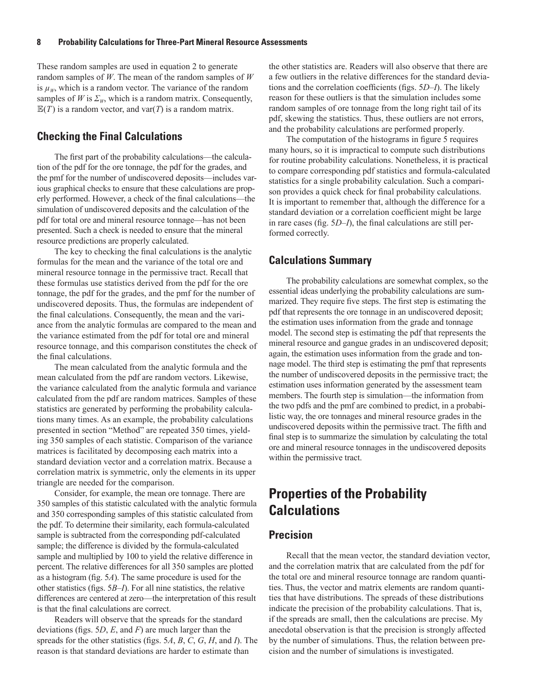<span id="page-13-0"></span>These random samples are used in equation 2 to generate random samples of *W*. The mean of the random samples of *W* is  $\mu_w$ , which is a random vector. The variance of the random samples of *W* is  $\Sigma_W$ , which is a random matrix. Consequently,  $\mathbb{E}(T)$  is a random vector, and var(*T*) is a random matrix.

#### **Checking the Final Calculations**

The first part of the probability calculations—the calculation of the pdf for the ore tonnage, the pdf for the grades, and the pmf for the number of undiscovered deposits—includes various graphical checks to ensure that these calculations are properly performed. However, a check of the final calculations—the simulation of undiscovered deposits and the calculation of the pdf for total ore and mineral resource tonnage—has not been presented. Such a check is needed to ensure that the mineral resource predictions are properly calculated.

The key to checking the final calculations is the analytic formulas for the mean and the variance of the total ore and mineral resource tonnage in the permissive tract. Recall that these formulas use statistics derived from the pdf for the ore tonnage, the pdf for the grades, and the pmf for the number of undiscovered deposits. Thus, the formulas are independent of the final calculations. Consequently, the mean and the variance from the analytic formulas are compared to the mean and the variance estimated from the pdf for total ore and mineral resource tonnage, and this comparison constitutes the check of the final calculations.

The mean calculated from the analytic formula and the mean calculated from the pdf are random vectors. Likewise, the variance calculated from the analytic formula and variance calculated from the pdf are random matrices. Samples of these statistics are generated by performing the probability calculations many times. As an example, the probability calculations presented in section "Method" are repeated 350 times, yielding 350 samples of each statistic. Comparison of the variance matrices is facilitated by decomposing each matrix into a standard deviation vector and a correlation matrix. Because a correlation matrix is symmetric, only the elements in its upper triangle are needed for the comparison.

Consider, for example, the mean ore tonnage. There are 350 samples of this statistic calculated with the analytic formula and 350 corresponding samples of this statistic calculated from the pdf. To determine their similarity, each formula-calculated sample is subtracted from the corresponding pdf-calculated sample; the difference is divided by the formula-calculated sample and multiplied by 100 to yield the relative difference in percent. The relative differences for all 350 samples are plotted as a histogram (fig. 5*A*). The same procedure is used for the other statistics (figs. 5*B*–*I*). For all nine statistics, the relative differences are centered at zero—the interpretation of this result is that the final calculations are correct.

Readers will observe that the spreads for the standard deviations (figs. 5*D*, *E*, and *F*) are much larger than the spreads for the other statistics (figs. 5*A*, *B*, *C*, *G*, *H*, and *I*). The reason is that standard deviations are harder to estimate than

the other statistics are. Readers will also observe that there are a few outliers in the relative differences for the standard deviations and the correlation coefficients (figs. 5*D–I*). The likely reason for these outliers is that the simulation includes some random samples of ore tonnage from the long right tail of its pdf, skewing the statistics. Thus, these outliers are not errors, and the probability calculations are performed properly.

The computation of the histograms in figure 5 requires many hours, so it is impractical to compute such distributions for routine probability calculations. Nonetheless, it is practical to compare corresponding pdf statistics and formula-calculated statistics for a single probability calculation. Such a comparison provides a quick check for final probability calculations. It is important to remember that, although the difference for a standard deviation or a correlation coefficient might be large in rare cases (fig. 5*D*–*I*), the final calculations are still performed correctly.

#### **Calculations Summary**

The probability calculations are somewhat complex, so the essential ideas underlying the probability calculations are summarized. They require five steps. The first step is estimating the pdf that represents the ore tonnage in an undiscovered deposit; the estimation uses information from the grade and tonnage model. The second step is estimating the pdf that represents the mineral resource and gangue grades in an undiscovered deposit; again, the estimation uses information from the grade and tonnage model. The third step is estimating the pmf that represents the number of undiscovered deposits in the permissive tract; the estimation uses information generated by the assessment team members. The fourth step is simulation—the information from the two pdfs and the pmf are combined to predict, in a probabilistic way, the ore tonnages and mineral resource grades in the undiscovered deposits within the permissive tract. The fifth and final step is to summarize the simulation by calculating the total ore and mineral resource tonnages in the undiscovered deposits within the permissive tract.

# **Properties of the Probability Calculations**

#### **Precision**

Recall that the mean vector, the standard deviation vector, and the correlation matrix that are calculated from the pdf for the total ore and mineral resource tonnage are random quantities. Thus, the vector and matrix elements are random quantities that have distributions. The spreads of these distributions indicate the precision of the probability calculations. That is, if the spreads are small, then the calculations are precise. My anecdotal observation is that the precision is strongly affected by the number of simulations. Thus, the relation between precision and the number of simulations is investigated.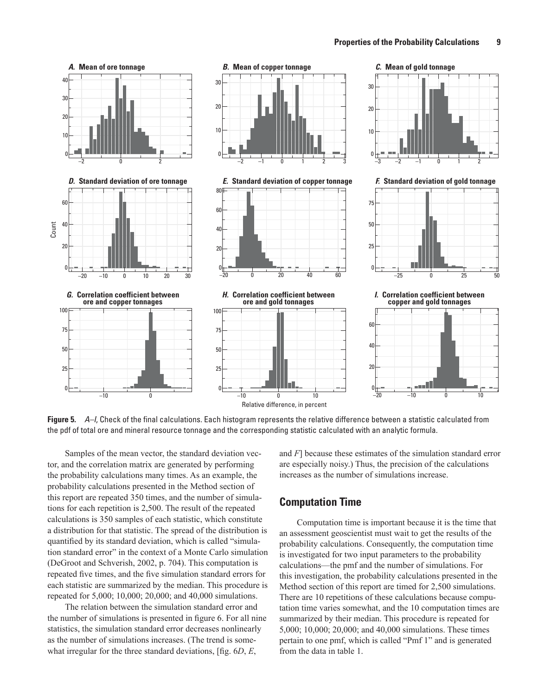<span id="page-14-0"></span>

**Figure 5.** *A–I*, Check of the final calculations. Each histogram represents the relative difference between a statistic calculated from the pdf of total ore and mineral resource tonnage and the corresponding statistic calculated with an analytic formula.

Samples of the mean vector, the standard deviation vector, and the correlation matrix are generated by performing the probability calculations many times. As an example, the probability calculations presented in the Method section of this report are repeated 350 times, and the number of simulations for each repetition is 2,500. The result of the repeated calculations is 350 samples of each statistic, which constitute a distribution for that statistic. The spread of the distribution is quantified by its standard deviation, which is called "simulation standard error" in the context of a Monte Carlo simulation (DeGroot and Schverish, 2002, p. 704). This computation is repeated five times, and the five simulation standard errors for each statistic are summarized by the median. This procedure is repeated for 5,000; 10,000; 20,000; and 40,000 simulations.

The relation between the simulation standard error and the number of simulations is presented in figure 6. For all nine statistics, the simulation standard error decreases nonlinearly as the number of simulations increases. (The trend is somewhat irregular for the three standard deviations, [fig. 6*D*, *E*,

and *F*] because these estimates of the simulation standard error are especially noisy.) Thus, the precision of the calculations increases as the number of simulations increase.

#### **Computation Time**

Computation time is important because it is the time that an assessment geoscientist must wait to get the results of the probability calculations. Consequently, the computation time is investigated for two input parameters to the probability calculations—the pmf and the number of simulations. For this investigation, the probability calculations presented in the Method section of this report are timed for 2,500 simulations. There are 10 repetitions of these calculations because computation time varies somewhat, and the 10 computation times are summarized by their median. This procedure is repeated for 5,000; 10,000; 20,000; and 40,000 simulations. These times pertain to one pmf, which is called "Pmf 1" and is generated from the data in table 1.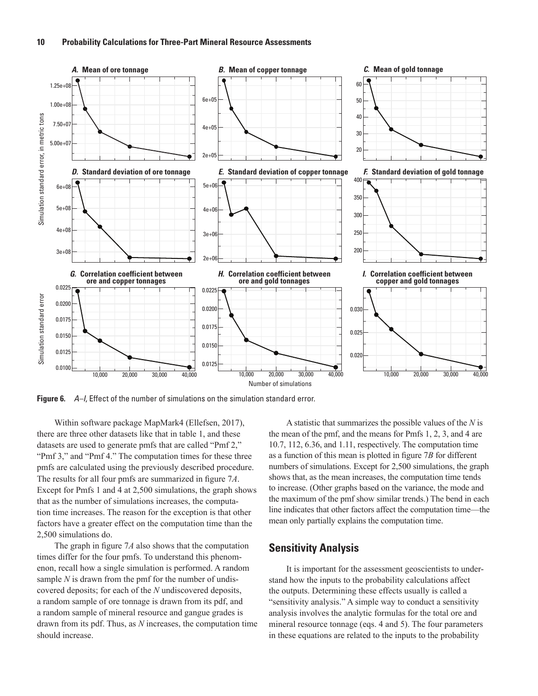<span id="page-15-0"></span>

**Figure 6.** *A–I*, Effect of the number of simulations on the simulation standard error.

Within software package MapMark4 (Ellefsen, 2017), there are three other datasets like that in table 1, and these datasets are used to generate pmfs that are called "Pmf 2," "Pmf 3," and "Pmf 4." The computation times for these three pmfs are calculated using the previously described procedure. The results for all four pmfs are summarized in figure 7*A*. Except for Pmfs 1 and 4 at 2,500 simulations, the graph shows that as the number of simulations increases, the computation time increases. The reason for the exception is that other factors have a greater effect on the computation time than the 2,500 simulations do.

The graph in figure 7*A* also shows that the computation times differ for the four pmfs. To understand this phenomenon, recall how a single simulation is performed. A random sample *N* is drawn from the pmf for the number of undiscovered deposits; for each of the *N* undiscovered deposits, a random sample of ore tonnage is drawn from its pdf, and a random sample of mineral resource and gangue grades is drawn from its pdf. Thus, as *N* increases, the computation time should increase.

A statistic that summarizes the possible values of the *N* is the mean of the pmf, and the means for Pmfs 1, 2, 3, and 4 are 10.7, 112, 6.36, and 1.11, respectively. The computation time as a function of this mean is plotted in figure 7*B* for different numbers of simulations. Except for 2,500 simulations, the graph shows that, as the mean increases, the computation time tends to increase. (Other graphs based on the variance, the mode and the maximum of the pmf show similar trends.) The bend in each line indicates that other factors affect the computation time—the mean only partially explains the computation time.

#### **Sensitivity Analysis**

It is important for the assessment geoscientists to understand how the inputs to the probability calculations affect the outputs. Determining these effects usually is called a "sensitivity analysis." A simple way to conduct a sensitivity analysis involves the analytic formulas for the total ore and mineral resource tonnage (eqs. 4 and 5). The four parameters in these equations are related to the inputs to the probability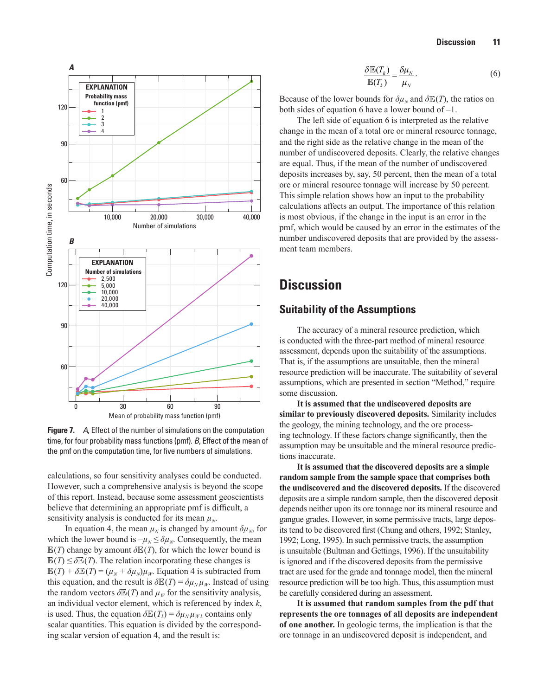<span id="page-16-0"></span>

**Figure 7.** *A*, Effect of the number of simulations on the computation time, for four probability mass functions (pmf). *B*, Effect of the mean of the pmf on the computation time, for five numbers of simulations.

calculations, so four sensitivity analyses could be conducted. However, such a comprehensive analysis is beyond the scope of this report. Instead, because some assessment geoscientists believe that determining an appropriate pmf is difficult, a sensitivity analysis is conducted for its mean  $\mu<sub>N</sub>$ .

In equation 4, the mean  $\mu_N$  is changed by amount  $\delta \mu_N$ , for which the lower bound is  $-\mu_N \leq \delta \mu_N$ . Consequently, the mean  $\mathbb{E}(T)$  change by amount  $\delta \mathbb{E}(T)$ , for which the lower bound is  $\mathbb{E}(T) \leq \delta \mathbb{E}(T)$ . The relation incorporating these changes is  $\mathbb{E}(T) + \delta \mathbb{E}(T) = (\mu_N + \delta \mu_N) \mu_W$ . Equation 4 is subtracted from this equation, and the result is  $\delta \mathbb{E}(T) = \delta \mu_N \mu_W$ . Instead of using the random vectors  $\delta \mathbb{E}(T)$  and  $\mu_W$  for the sensitivity analysis, an individual vector element, which is referenced by index *k*, is used. Thus, the equation  $\delta \mathbb{E}(T_k) = \delta \mu_N \mu_{W_k}$  contains only scalar quantities. This equation is divided by the corresponding scalar version of equation 4, and the result is:

$$
\frac{\delta \mathbb{E}(T_k)}{\mathbb{E}(T_k)} = \frac{\delta \mu_N}{\mu_N}.
$$
\n(6)

Because of the lower bounds for  $\delta \mu_N$  and  $\delta \mathbb{E}(T)$ , the ratios on both sides of equation 6 have a lower bound of –1.

The left side of equation 6 is interpreted as the relative change in the mean of a total ore or mineral resource tonnage, and the right side as the relative change in the mean of the number of undiscovered deposits. Clearly, the relative changes are equal. Thus, if the mean of the number of undiscovered deposits increases by, say, 50 percent, then the mean of a total ore or mineral resource tonnage will increase by 50 percent. This simple relation shows how an input to the probability calculations affects an output. The importance of this relation is most obvious, if the change in the input is an error in the pmf, which would be caused by an error in the estimates of the number undiscovered deposits that are provided by the assessment team members.

## **Discussion**

#### **Suitability of the Assumptions**

The accuracy of a mineral resource prediction, which is conducted with the three-part method of mineral resource assessment, depends upon the suitability of the assumptions. That is, if the assumptions are unsuitable, then the mineral resource prediction will be inaccurate. The suitability of several assumptions, which are presented in section "Method," require some discussion.

**It is assumed that the undiscovered deposits are similar to previously discovered deposits.** Similarity includes the geology, the mining technology, and the ore processing technology. If these factors change significantly, then the assumption may be unsuitable and the mineral resource predictions inaccurate.

**It is assumed that the discovered deposits are a simple random sample from the sample space that comprises both the undiscovered and the discovered deposits.** If the discovered deposits are a simple random sample, then the discovered deposit depends neither upon its ore tonnage nor its mineral resource and gangue grades. However, in some permissive tracts, large deposits tend to be discovered first (Chung and others, 1992; Stanley, 1992; Long, 1995). In such permissive tracts, the assumption is unsuitable (Bultman and Gettings, 1996). If the unsuitability is ignored and if the discovered deposits from the permissive tract are used for the grade and tonnage model, then the mineral resource prediction will be too high. Thus, this assumption must be carefully considered during an assessment.

**It is assumed that random samples from the pdf that represents the ore tonnages of all deposits are independent of one another.** In geologic terms, the implication is that the ore tonnage in an undiscovered deposit is independent, and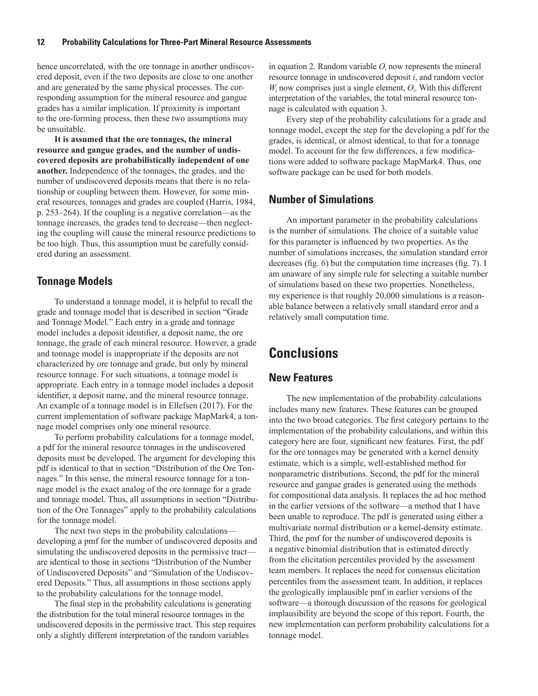<span id="page-17-0"></span>hence uncorrelated, with the ore tonnage in another undiscovered deposit, even if the two deposits are close to one another and are generated by the same physical processes. The corresponding assumption for the mineral resource and gangue grades has a similar implication. If proximity is important to the ore-forming process, then these two assumptions may be unsuitable.

**It is assumed that the ore tonnages, the mineral resource and gangue grades, and the number of undiscovered deposits are probabilistically independent of one another.** Independence of the tonnages, the grades, and the number of undiscovered deposits means that there is no relationship or coupling between them. However, for some mineral resources, tonnages and grades are coupled (Harris, 1984, p. 253–264). If the coupling is a negative correlation—as the tonnage increases, the grades tend to decrease—then neglecting the coupling will cause the mineral resource predictions to be too high. Thus, this assumption must be carefully considered during an assessment.

#### **Tonnage Models**

To understand a tonnage model, it is helpful to recall the grade and tonnage model that is described in section "Grade and Tonnage Model." Each entry in a grade and tonnage model includes a deposit identifier, a deposit name, the ore tonnage, the grade of each mineral resource. However, a grade and tonnage model is inappropriate if the deposits are not characterized by ore tonnage and grade, but only by mineral resource tonnage. For such situations, a tonnage model is appropriate. Each entry in a tonnage model includes a deposit identifier, a deposit name, and the mineral resource tonnage. An example of a tonnage model is in Ellefsen (2017). For the current implementation of software package MapMark4, a tonnage model comprises only one mineral resource.

To perform probability calculations for a tonnage model, a pdf for the mineral resource tonnages in the undiscovered deposits must be developed. The argument for developing this pdf is identical to that in section "Distribution of the Ore Tonnages." In this sense, the mineral resource tonnage for a tonnage model is the exact analog of the ore tonnage for a grade and tonnage model. Thus, all assumptions in section "Distribution of the Ore Tonnages" apply to the probability calculations for the tonnage model.

The next two steps in the probability calculations developing a pmf for the number of undiscovered deposits and simulating the undiscovered deposits in the permissive tract are identical to those in sections "Distribution of the Number of Undiscovered Deposits" and "Simulation of the Undiscovered Deposits." Thus, all assumptions in those sections apply to the probability calculations for the tonnage model.

The final step in the probability calculations is generating the distribution for the total mineral resource tonnages in the undiscovered deposits in the permissive tract. This step requires only a slightly different interpretation of the random variables

in equation 2. Random variable  $O_i$  now represents the mineral resource tonnage in undiscovered deposit *i*, and random vector  $W_i$  now comprises just a single element,  $O_i$ . With this different interpretation of the variables, the total mineral resource tonnage is calculated with equation 3.

Every step of the probability calculations for a grade and tonnage model, except the step for the developing a pdf for the grades, is identical, or almost identical, to that for a tonnage model. To account for the few differences, a few modifications were added to software package MapMark4. Thus, one software package can be used for both models.

#### **Number of Simulations**

An important parameter in the probability calculations is the number of simulations. The choice of a suitable value for this parameter is influenced by two properties. As the number of simulations increases, the simulation standard error decreases (fig. 6) but the computation time increases (fig. 7). I am unaware of any simple rule for selecting a suitable number of simulations based on these two properties. Nonetheless, my experience is that roughly 20,000 simulations is a reasonable balance between a relatively small standard error and a relatively small computation time.

# **Conclusions**

#### **New Features**

The new implementation of the probability calculations includes many new features. These features can be grouped into the two broad categories. The first category pertains to the implementation of the probability calculations, and within this category here are four, significant new features. First, the pdf for the ore tonnages may be generated with a kernel density estimate, which is a simple, well-established method for nonparametric distributions. Second, the pdf for the mineral resource and gangue grades is generated using the methods for compositional data analysis. It replaces the ad hoc method in the earlier versions of the software—a method that I have been unable to reproduce. The pdf is generated using either a multivariate normal distribution or a kernel-density estimate. Third, the pmf for the number of undiscovered deposits is a negative binomial distribution that is estimated directly from the elicitation percentiles provided by the assessment team members. It replaces the need for consensus elicitation percentiles from the assessment team. In addition, it replaces the geologically implausible pmf in earlier versions of the software—a thorough discussion of the reasons for geological implausibility are beyond the scope of this report. Fourth, the new implementation can perform probability calculations for a tonnage model.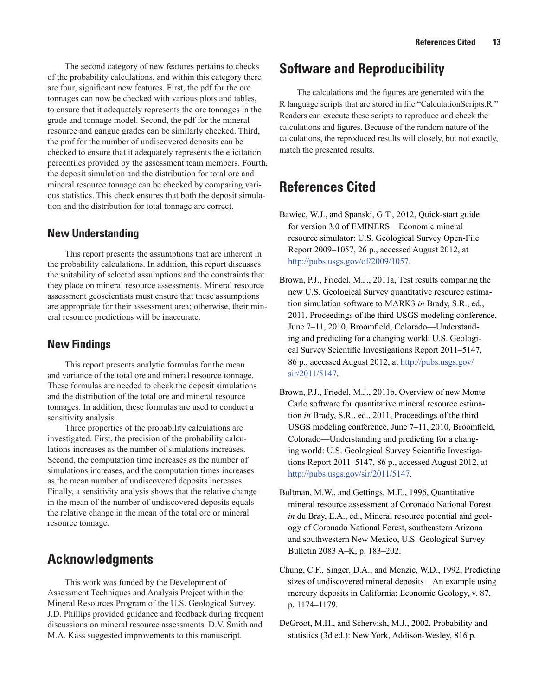<span id="page-18-0"></span>The second category of new features pertains to checks of the probability calculations, and within this category there are four, significant new features. First, the pdf for the ore tonnages can now be checked with various plots and tables, to ensure that it adequately represents the ore tonnages in the grade and tonnage model. Second, the pdf for the mineral resource and gangue grades can be similarly checked. Third, the pmf for the number of undiscovered deposits can be checked to ensure that it adequately represents the elicitation percentiles provided by the assessment team members. Fourth, the deposit simulation and the distribution for total ore and mineral resource tonnage can be checked by comparing various statistics. This check ensures that both the deposit simulation and the distribution for total tonnage are correct.

#### **New Understanding**

This report presents the assumptions that are inherent in the probability calculations. In addition, this report discusses the suitability of selected assumptions and the constraints that they place on mineral resource assessments. Mineral resource assessment geoscientists must ensure that these assumptions are appropriate for their assessment area; otherwise, their mineral resource predictions will be inaccurate.

### **New Findings**

This report presents analytic formulas for the mean and variance of the total ore and mineral resource tonnage. These formulas are needed to check the deposit simulations and the distribution of the total ore and mineral resource tonnages. In addition, these formulas are used to conduct a sensitivity analysis.

Three properties of the probability calculations are investigated. First, the precision of the probability calculations increases as the number of simulations increases. Second, the computation time increases as the number of simulations increases, and the computation times increases as the mean number of undiscovered deposits increases. Finally, a sensitivity analysis shows that the relative change in the mean of the number of undiscovered deposits equals the relative change in the mean of the total ore or mineral resource tonnage.

## **Acknowledgments**

This work was funded by the Development of Assessment Techniques and Analysis Project within the Mineral Resources Program of the U.S. Geological Survey. J.D. Phillips provided guidance and feedback during frequent discussions on mineral resource assessments. D.V. Smith and M.A. Kass suggested improvements to this manuscript.

# **Software and Reproducibility**

The calculations and the figures are generated with the R language scripts that are stored in file "CalculationScripts.R." Readers can execute these scripts to reproduce and check the calculations and figures. Because of the random nature of the calculations, the reproduced results will closely, but not exactly, match the presented results.

# **References Cited**

- Bawiec, W.J., and Spanski, G.T., 2012, Quick-start guide for version 3.0 of EMINERS—Economic mineral resource simulator: U.S. Geological Survey Open-File Report 2009–1057, 26 p., accessed August 2012, at <http://pubs.usgs.gov/of/2009/1057>.
- Brown, P.J., Friedel, M.J., 2011a, Test results comparing the new U.S. Geological Survey quantitative resource estimation simulation software to MARK3 *in* Brady, S.R., ed., 2011, Proceedings of the third USGS modeling conference, June 7–11, 2010, Broomfield, Colorado—Understanding and predicting for a changing world: U.S. Geological Survey Scientific Investigations Report 2011–5147, 86 p., accessed August 2012, at [http://pubs.usgs.gov/](http://pubs.usgs.gov/sir/2011/5147) [sir/2011/5147](http://pubs.usgs.gov/sir/2011/5147).
- Brown, P.J., Friedel, M.J., 2011b, Overview of new Monte Carlo software for quantitative mineral resource estimation *in* Brady, S.R., ed., 2011, Proceedings of the third USGS modeling conference, June 7–11, 2010, Broomfield, Colorado—Understanding and predicting for a changing world: U.S. Geological Survey Scientific Investigations Report 2011–5147, 86 p., accessed August 2012, at [http://pubs.usgs.gov/sir/2011/5147.](http://pubs.usgs.gov/sir/2011/5147)
- Bultman, M.W., and Gettings, M.E., 1996, Quantitative mineral resource assessment of Coronado National Forest *in* du Bray, E.A., ed., Mineral resource potential and geology of Coronado National Forest, southeastern Arizona and southwestern New Mexico, U.S. Geological Survey Bulletin 2083 A–K, p. 183–202.
- Chung, C.F., Singer, D.A., and Menzie, W.D., 1992, Predicting sizes of undiscovered mineral deposits—An example using mercury deposits in California: Economic Geology, v. 87, p. 1174–1179.
- DeGroot, M.H., and Schervish, M.J., 2002, Probability and statistics (3d ed.): New York, Addison-Wesley, 816 p.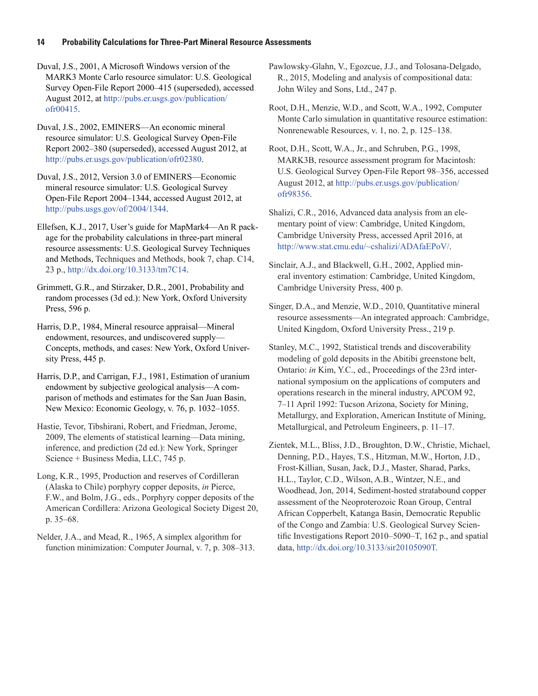Duval, J.S., 2001, A Microsoft Windows version of the MARK3 Monte Carlo resource simulator: U.S. Geological Survey Open-File Report 2000–415 (superseded), accessed August 2012, at [http://pubs.er.usgs.gov/publication/](http://pubs.er.usgs.gov/publication/ofr00415) [ofr00415.](http://pubs.er.usgs.gov/publication/ofr00415)

Duval, J.S., 2002, EMINERS—An economic mineral resource simulator: U.S. Geological Survey Open-File Report 2002–380 (superseded), accessed August 2012, at <http://pubs.er.usgs.gov/publication/ofr02380>.

Duval, J.S., 2012, Version 3.0 of EMINERS—Economic mineral resource simulator: U.S. Geological Survey Open-File Report 2004–1344, accessed August 2012, at <http://pubs.usgs.gov/of/2004/1344>.

Ellefsen, K.J., 2017, User's guide for MapMark4—An R package for the probability calculations in three-part mineral resource assessments: U.S. Geological Survey Techniques and Methods, Techniques and Methods, book 7, chap. C14, 23 p., <http://dx.doi.org/10.3133/tm7C14>.

Grimmett, G.R., and Stirzaker, D.R., 2001, Probability and random processes (3d ed.): New York, Oxford University Press, 596 p.

Harris, D.P., 1984, Mineral resource appraisal—Mineral endowment, resources, and undiscovered supply— Concepts, methods, and cases: New York, Oxford University Press, 445 p.

Harris, D.P., and Carrigan, F.J., 1981, Estimation of uranium endowment by subjective geological analysis—A comparison of methods and estimates for the San Juan Basin, New Mexico: Economic Geology, v. 76, p. 1032–1055.

Hastie, Tevor, Tibshirani, Robert, and Friedman, Jerome, 2009, The elements of statistical learning—Data mining, inference, and prediction (2d ed.): New York, Springer Science + Business Media, LLC, 745 p.

Long, K.R., 1995, Production and reserves of Cordilleran (Alaska to Chile) porphyry copper deposits, *in* Pierce, F.W., and Bolm, J.G., eds., Porphyry copper deposits of the American Cordillera: Arizona Geological Society Digest 20, p. 35–68.

Nelder, J.A., and Mead, R., 1965, A simplex algorithm for function minimization: Computer Journal, v. 7, p. 308–313. Pawlowsky-Glahn, V., Egozcue, J.J., and Tolosana-Delgado, R., 2015, Modeling and analysis of compositional data: John Wiley and Sons, Ltd., 247 p.

Root, D.H., Menzie, W.D., and Scott, W.A., 1992, Computer Monte Carlo simulation in quantitative resource estimation: Nonrenewable Resources, v. 1, no. 2, p. 125–138.

Root, D.H., Scott, W.A., Jr., and Schruben, P.G., 1998, MARK3B, resource assessment program for Macintosh: U.S. Geological Survey Open-File Report 98–356, accessed August 2012, at [http://pubs.er.usgs.gov/publication/](http://pubs.er.usgs.gov/publication/ofr98356) [ofr98356.](http://pubs.er.usgs.gov/publication/ofr98356)

Shalizi, C.R., 2016, Advanced data analysis from an elementary point of view: Cambridge, United Kingdom, Cambridge University Press, accessed April 2016, at [http://www.stat.cmu.edu/~cshalizi/ADAfaEPoV/.](http://www.stat.cmu.edu/~cshalizi/ADAfaEPoV/)

Sinclair, A.J., and Blackwell, G.H., 2002, Applied mineral inventory estimation: Cambridge, United Kingdom, Cambridge University Press, 400 p.

Singer, D.A., and Menzie, W.D., 2010, Quantitative mineral resource assessments—An integrated approach: Cambridge, United Kingdom, Oxford University Press., 219 p.

Stanley, M.C., 1992, Statistical trends and discoverability modeling of gold deposits in the Abitibi greenstone belt, Ontario: *in* Kim, Y.C., ed., Proceedings of the 23rd international symposium on the applications of computers and operations research in the mineral industry, APCOM 92, 7–11 April 1992: Tucson Arizona, Society for Mining, Metallurgy, and Exploration, American Institute of Mining, Metallurgical, and Petroleum Engineers, p. 11–17.

Zientek, M.L., Bliss, J.D., Broughton, D.W., Christie, Michael, Denning, P.D., Hayes, T.S., Hitzman, M.W., Horton, J.D., Frost-Killian, Susan, Jack, D.J., Master, Sharad, Parks, H.L., Taylor, C.D., Wilson, A.B., Wintzer, N.E., and Woodhead, Jon, 2014, Sediment-hosted stratabound copper assessment of the Neoproterozoic Roan Group, Central African Copperbelt, Katanga Basin, Democratic Republic of the Congo and Zambia: U.S. Geological Survey Scientific Investigations Report 2010–5090–T, 162 p., and spatial data, [http://dx.doi.org/10.3133/sir20105090T.](http://dx.doi.org/10.3133/sir20105090T)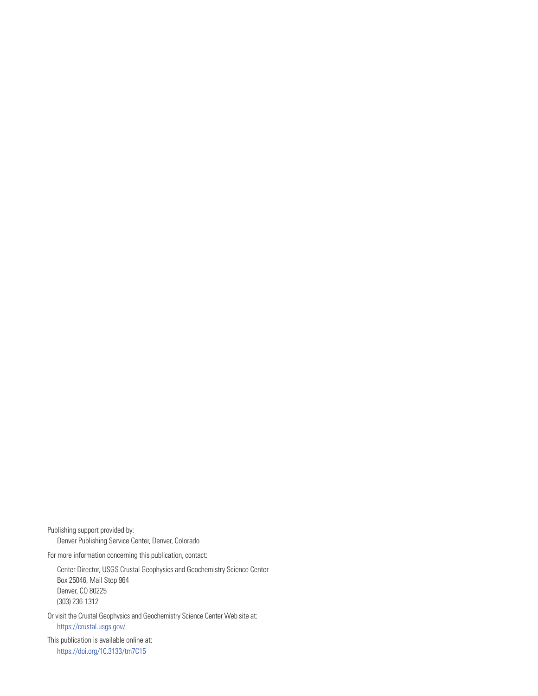Publishing support provided by: Denver Publishing Service Center, Denver, Colorado

For more information concerning this publication, contact:

Center Director, USGS Crustal Geophysics and Geochemistry Science Center Box 25046, Mail Stop 964 Denver, CO 80225 (303) 236-1312

Or visit the Crustal Geophysics and Geochemistry Science Center Web site at: <https://crustal.usgs.gov/>

This publication is available online at: [https://doi.org/10.3133/t](https://doi.org/10.3133/tm7C15)m7C15